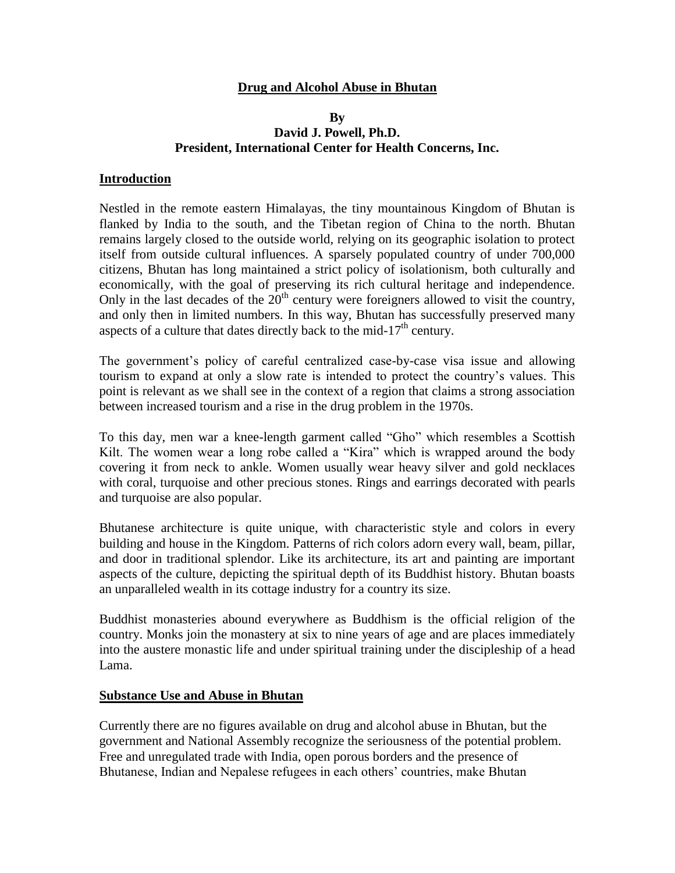## **Drug and Alcohol Abuse in Bhutan**

### **By David J. Powell, Ph.D. President, International Center for Health Concerns, Inc.**

### **Introduction**

Nestled in the remote eastern Himalayas, the tiny mountainous Kingdom of Bhutan is flanked by India to the south, and the Tibetan region of China to the north. Bhutan remains largely closed to the outside world, relying on its geographic isolation to protect itself from outside cultural influences. A sparsely populated country of under 700,000 citizens, Bhutan has long maintained a strict policy of isolationism, both culturally and economically, with the goal of preserving its rich cultural heritage and independence. Only in the last decades of the  $20<sup>th</sup>$  century were foreigners allowed to visit the country, and only then in limited numbers. In this way, Bhutan has successfully preserved many aspects of a culture that dates directly back to the mid-17<sup>th</sup> century.

The government's policy of careful centralized case-by-case visa issue and allowing tourism to expand at only a slow rate is intended to protect the country's values. This point is relevant as we shall see in the context of a region that claims a strong association between increased tourism and a rise in the drug problem in the 1970s.

To this day, men war a knee-length garment called "Gho" which resembles a Scottish Kilt. The women wear a long robe called a "Kira" which is wrapped around the body covering it from neck to ankle. Women usually wear heavy silver and gold necklaces with coral, turquoise and other precious stones. Rings and earrings decorated with pearls and turquoise are also popular.

Bhutanese architecture is quite unique, with characteristic style and colors in every building and house in the Kingdom. Patterns of rich colors adorn every wall, beam, pillar, and door in traditional splendor. Like its architecture, its art and painting are important aspects of the culture, depicting the spiritual depth of its Buddhist history. Bhutan boasts an unparalleled wealth in its cottage industry for a country its size.

Buddhist monasteries abound everywhere as Buddhism is the official religion of the country. Monks join the monastery at six to nine years of age and are places immediately into the austere monastic life and under spiritual training under the discipleship of a head Lama.

#### **Substance Use and Abuse in Bhutan**

Currently there are no figures available on drug and alcohol abuse in Bhutan, but the government and National Assembly recognize the seriousness of the potential problem. Free and unregulated trade with India, open porous borders and the presence of Bhutanese, Indian and Nepalese refugees in each others' countries, make Bhutan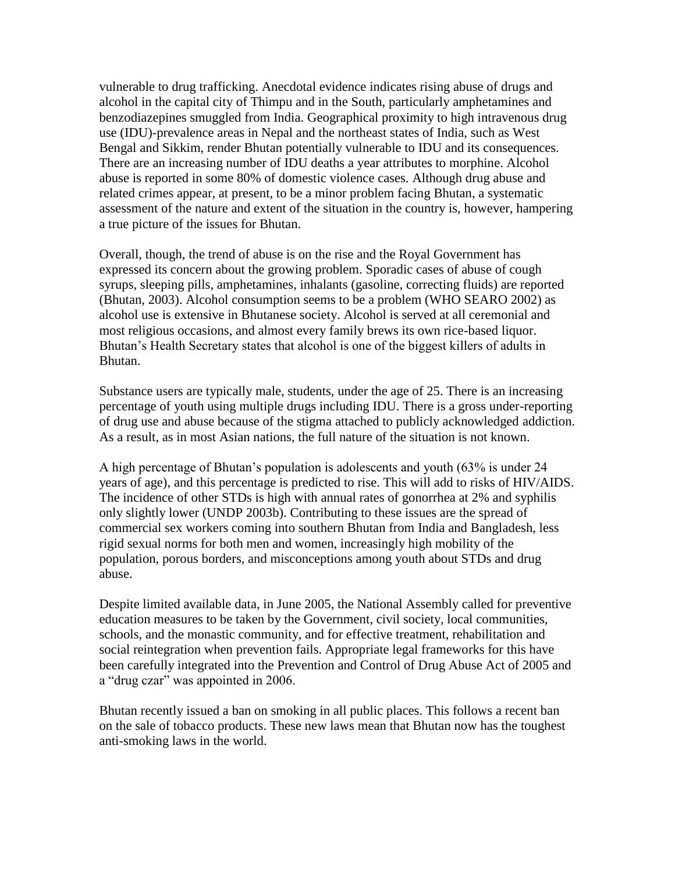vulnerable to drug trafficking. Anecdotal evidence indicates rising abuse of drugs and alcohol in the capital city of Thimpu and in the South, particularly amphetamines and benzodiazepines smuggled from India. Geographical proximity to high intravenous drug use (IDU)-prevalence areas in Nepal and the northeast states of India, such as West Bengal and Sikkim, render Bhutan potentially vulnerable to IDU and its consequences. There are an increasing number of IDU deaths a year attributes to morphine. Alcohol abuse is reported in some 80% of domestic violence cases. Although drug abuse and related crimes appear, at present, to be a minor problem facing Bhutan, a systematic assessment of the nature and extent of the situation in the country is, however, hampering a true picture of the issues for Bhutan.

Overall, though, the trend of abuse is on the rise and the Royal Government has expressed its concern about the growing problem. Sporadic cases of abuse of cough syrups, sleeping pills, amphetamines, inhalants (gasoline, correcting fluids) are reported (Bhutan, 2003). Alcohol consumption seems to be a problem (WHO SEARO 2002) as alcohol use is extensive in Bhutanese society. Alcohol is served at all ceremonial and most religious occasions, and almost every family brews its own rice-based liquor. Bhutan's Health Secretary states that alcohol is one of the biggest killers of adults in Bhutan.

Substance users are typically male, students, under the age of 25. There is an increasing percentage of youth using multiple drugs including IDU. There is a gross under-reporting of drug use and abuse because of the stigma attached to publicly acknowledged addiction. As a result, as in most Asian nations, the full nature of the situation is not known.

A high percentage of Bhutan's population is adolescents and youth (63% is under 24 years of age), and this percentage is predicted to rise. This will add to risks of HIV/AIDS. The incidence of other STDs is high with annual rates of gonorrhea at 2% and syphilis only slightly lower (UNDP 2003b). Contributing to these issues are the spread of commercial sex workers coming into southern Bhutan from India and Bangladesh, less rigid sexual norms for both men and women, increasingly high mobility of the population, porous borders, and misconceptions among youth about STDs and drug abuse.

Despite limited available data, in June 2005, the National Assembly called for preventive education measures to be taken by the Government, civil society, local communities, schools, and the monastic community, and for effective treatment, rehabilitation and social reintegration when prevention fails. Appropriate legal frameworks for this have been carefully integrated into the Prevention and Control of Drug Abuse Act of 2005 and a "drug czar" was appointed in 2006.

Bhutan recently issued a ban on smoking in all public places. This follows a recent ban on the sale of tobacco products. These new laws mean that Bhutan now has the toughest anti-smoking laws in the world.